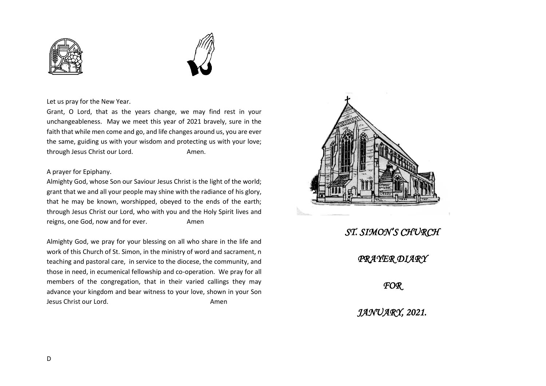



## Let us pray for the New Year.

Grant, O Lord, that as the years change, we may find rest in your unchangeableness. May we meet this year of 2021 bravely, sure in the faith that while men come and go, and life changes around us, you are ever the same, guiding us with your wisdom and protecting us with your love; through Jesus Christ our Lord. The manner of the Amen.

## A prayer for Epiphany.

Almighty God, whose Son our Saviour Jesus Christ is the light of the world; grant that we and all your people may shine with the radiance of his glory, that he may be known, worshipped, obeyed to the ends of the earth; through Jesus Christ our Lord, who with you and the Holy Spirit lives and reigns, one God, now and for ever. Amen

Almighty God, we pray for your blessing on all who share in the life and work of this Church of St. Simon, in the ministry of word and sacrament, n teaching and pastoral care, in service to the diocese, the community, and those in need, in ecumenical fellowship and co-operation. We pray for all members of the congregation, that in their varied callings they may advance your kingdom and bear witness to your love, shown in your Son Jesus Christ our Lord. Amen



*ST. SIMON'S CHURCH PRAYER DIARY FOR JANUARY, 2021.*